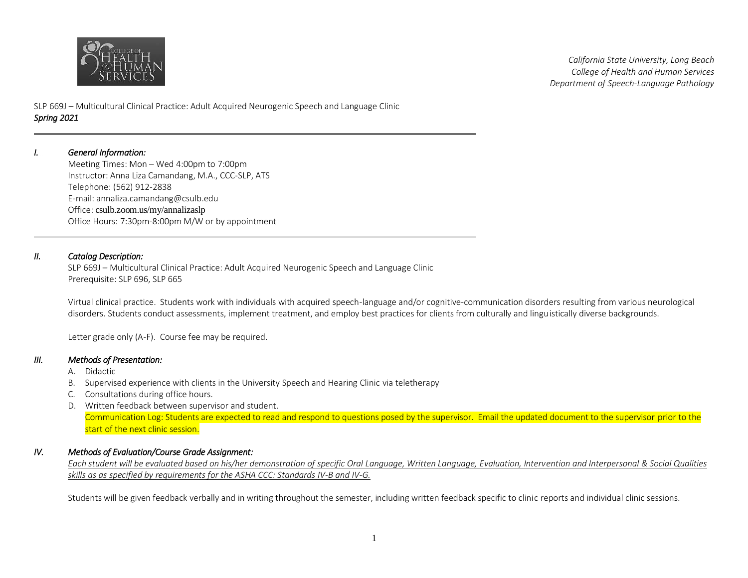

*California State University, Long Beach College of Health and Human Services Department of Speech-Language Pathology* 

SLP 669J – Multicultural Clinical Practice: Adult Acquired Neurogenic Speech and Language Clinic *Spring 2021* 

#### *I. General Information:*

Meeting Times: Mon – Wed 4:00pm to 7:00pm Instructor: Anna Liza Camandang, M.A., CCC-SLP, ATS Telephone: (562) 912-2838 E-mail: annaliza.camandang@csulb.edu Office: csulb.zoom.us/my/annalizaslp Office Hours: 7:30pm-8:00pm M/W or by appointment

## *II. Catalog Description:*

SLP 669J – Multicultural Clinical Practice: Adult Acquired Neurogenic Speech and Language Clinic Prerequisite: SLP 696, SLP 665

Virtual clinical practice. Students work with individuals with acquired speech-language and/or cognitive-communication disorders resulting from various neurological disorders. Students conduct assessments, implement treatment, and employ best practices for clients from culturally and linguistically diverse backgrounds.

Letter grade only (A-F). Course fee may be required.

### *III. Methods of Presentation:*

- A. Didactic
- B. Supervised experience with clients in the University Speech and Hearing Clinic via teletherapy
- C. Consultations during office hours.
- D. Written feedback between supervisor and student. Communication Log: Students are expected to read and respond to questions posed by the supervisor. Email the updated document to the supervisor prior to the start of the next clinic session.

# *IV. Methods of Evaluation/Course Grade Assignment:*

*Each student will be evaluated based on his/her demonstration of specific Oral Language, Written Language, Evaluation, Intervention and Interpersonal & Social Qualities skills as as specified by requirements for the ASHA CCC: Standards IV-B and IV-G.* 

Students will be given feedback verbally and in writing throughout the semester, including written feedback specific to clinic reports and individual clinic sessions.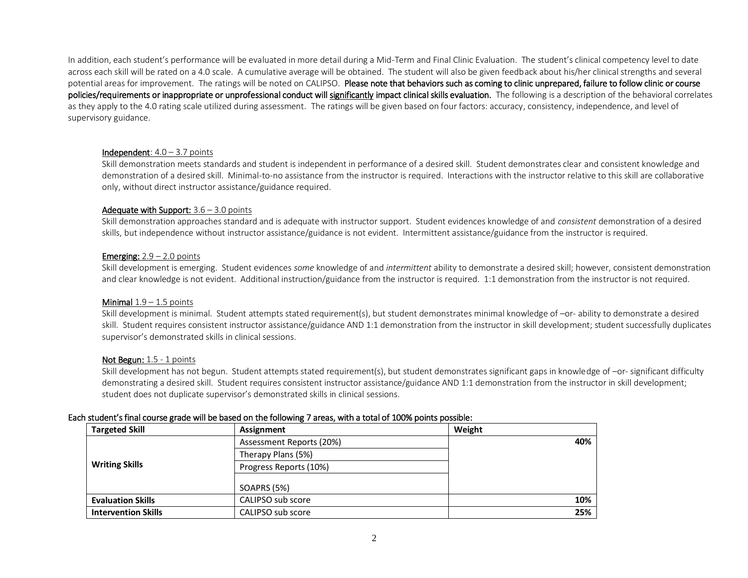In addition, each student's performance will be evaluated in more detail during a Mid-Term and Final Clinic Evaluation. The student's clinical competency level to date across each skill will be rated on a 4.0 scale. A cumulative average will be obtained. The student will also be given feedback about his/her clinical strengths and several potential areas for improvement. The ratings will be noted on CALIPSO. Please note that behaviors such as coming to clinic unprepared, failure to follow clinic or course policies/requirements or inappropriate or unprofessional conduct will significantly impact clinical skills evaluation. The following is a description of the behavioral correlates as they apply to the 4.0 rating scale utilized during assessment. The ratings will be given based on four factors: accuracy, consistency, independence, and level of supervisory guidance.

#### **Independent**:  $4.0 - 3.7$  points

Skill demonstration meets standards and student is independent in performance of a desired skill. Student demonstrates clear and consistent knowledge and demonstration of a desired skill. Minimal-to-no assistance from the instructor is required. Interactions with the instructor relative to this skill are collaborative only, without direct instructor assistance/guidance required.

#### Adequate with Support:  $3.6 - 3.0$  points

Skill demonstration approaches standard and is adequate with instructor support. Student evidences knowledge of and *consistent* demonstration of a desired skills, but independence without instructor assistance/guidance is not evident. Intermittent assistance/guidance from the instructor is required.

#### **Emerging:**  $2.9 - 2.0$  points

Skill development is emerging. Student evidences *some* knowledge of and *intermittent* ability to demonstrate a desired skill; however, consistent demonstration and clear knowledge is not evident. Additional instruction/guidance from the instructor is required. 1:1 demonstration from the instructor is not required.

#### Minimal  $1.9 - 1.5$  points

Skill development is minimal. Student attempts stated requirement(s), but student demonstrates minimal knowledge of –or- ability to demonstrate a desired skill. Student requires consistent instructor assistance/guidance AND 1:1 demonstration from the instructor in skill development; student successfully duplicates supervisor's demonstrated skills in clinical sessions.

#### Not Begun: 1.5 - 1 points

Skill development has not begun. Student attempts stated requirement(s), but student demonstrates significant gaps in knowledge of –or- significant difficulty demonstrating a desired skill. Student requires consistent instructor assistance/guidance AND 1:1 demonstration from the instructor in skill development; student does not duplicate supervisor's demonstrated skills in clinical sessions.

#### Each student's final course grade will be based on the following 7 areas, with a total of 100% points possible:

| <b>Targeted Skill</b>      | Assignment               | Weight |
|----------------------------|--------------------------|--------|
|                            | Assessment Reports (20%) | 40%    |
|                            | Therapy Plans (5%)       |        |
| <b>Writing Skills</b>      | Progress Reports (10%)   |        |
|                            | <b>SOAPRS (5%)</b>       |        |
| <b>Evaluation Skills</b>   | CALIPSO sub score        | 10%    |
| <b>Intervention Skills</b> | CALIPSO sub score        | 25%    |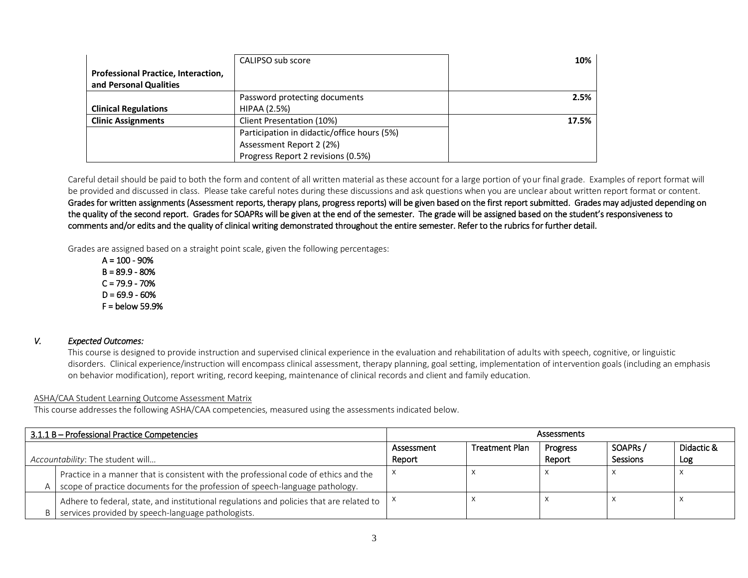|                                                               | CALIPSO sub score                           | 10%   |
|---------------------------------------------------------------|---------------------------------------------|-------|
| Professional Practice, Interaction,<br>and Personal Qualities |                                             |       |
|                                                               | Password protecting documents               | 2.5%  |
| <b>Clinical Regulations</b>                                   | <b>HIPAA (2.5%)</b>                         |       |
| <b>Clinic Assignments</b>                                     | Client Presentation (10%)                   | 17.5% |
|                                                               | Participation in didactic/office hours (5%) |       |
|                                                               | Assessment Report 2 (2%)                    |       |
|                                                               | Progress Report 2 revisions (0.5%)          |       |

Careful detail should be paid to both the form and content of all written material as these account for a large portion of your final grade. Examples of report format will be provided and discussed in class. Please take careful notes during these discussions and ask questions when you are unclear about written report format or content. Grades for written assignments (Assessment reports, therapy plans, progress reports) will be given based on the first report submitted. Grades may adjusted depending on the quality of the second report. Grades for SOAPRs will be given at the end of the semester. The grade will be assigned based on the student's responsiveness to comments and/or edits and the quality of clinical writing demonstrated throughout the entire semester. Refer to the rubrics for further detail.

Grades are assigned based on a straight point scale, given the following percentages:

 $A = 100 - 90%$  $B = 89.9 - 80%$  $C = 79.9 - 70%$  $D = 69.9 - 60%$  $F =$  below 59.9%

## *V. Expected Outcomes:*

This course is designed to provide instruction and supervised clinical experience in the evaluation and rehabilitation of adults with speech, cognitive, or linguistic disorders. Clinical experience/instruction will encompass clinical assessment, therapy planning, goal setting, implementation of intervention goals (including an emphasis on behavior modification), report writing, record keeping, maintenance of clinical records and client and family education.

# ASHA/CAA Student Learning Outcome Assessment Matrix

This course addresses the following ASHA/CAA competencies, measured using the assessments indicated below.

| 3.1.1 B - Professional Practice Competencies                                         |                                                                                          | <b>Assessments</b> |                       |          |                 |            |
|--------------------------------------------------------------------------------------|------------------------------------------------------------------------------------------|--------------------|-----------------------|----------|-----------------|------------|
|                                                                                      |                                                                                          | Assessment         | <b>Treatment Plan</b> | Progress | SOAPRs/         | Didactic & |
| Accountability: The student will                                                     |                                                                                          | Report             |                       | Report   | <b>Sessions</b> | Log        |
| Practice in a manner that is consistent with the professional code of ethics and the |                                                                                          |                    |                       |          |                 |            |
| scope of practice documents for the profession of speech-language pathology.         |                                                                                          |                    |                       |          |                 |            |
|                                                                                      | Adhere to federal, state, and institutional regulations and policies that are related to |                    |                       |          |                 |            |
| B.                                                                                   | services provided by speech-language pathologists.                                       |                    |                       |          |                 |            |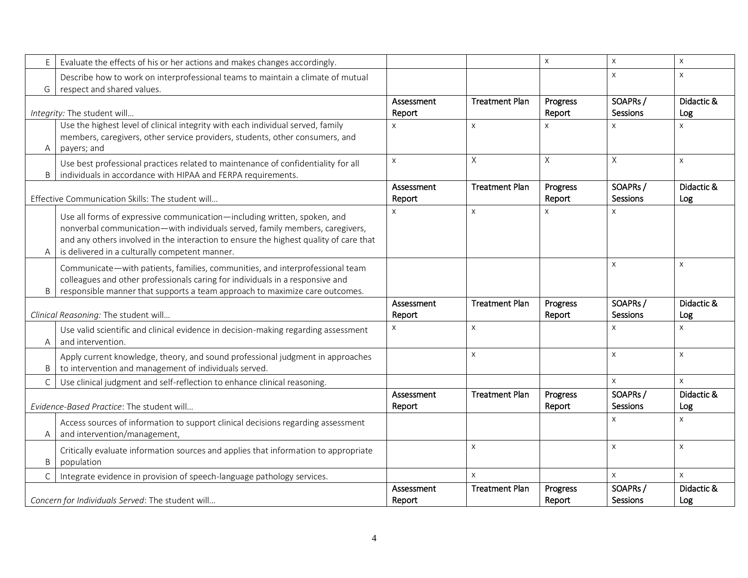| E                                                                                                                                                                                   | Evaluate the effects of his or her actions and makes changes accordingly.                                                                                                                                                                                                                           |                      |                       | $\mathsf{X}$       | $\mathsf{x}$               | $\mathsf{X}$      |
|-------------------------------------------------------------------------------------------------------------------------------------------------------------------------------------|-----------------------------------------------------------------------------------------------------------------------------------------------------------------------------------------------------------------------------------------------------------------------------------------------------|----------------------|-----------------------|--------------------|----------------------------|-------------------|
| Describe how to work on interprofessional teams to maintain a climate of mutual<br>respect and shared values.<br>G                                                                  |                                                                                                                                                                                                                                                                                                     |                      |                       |                    | X                          | $\times$          |
|                                                                                                                                                                                     | Integrity: The student will                                                                                                                                                                                                                                                                         | Assessment<br>Report | <b>Treatment Plan</b> | Progress<br>Report | SOAPRs/<br>Sessions        | Didactic &<br>Log |
| Use the highest level of clinical integrity with each individual served, family<br>members, caregivers, other service providers, students, other consumers, and<br>payers; and<br>Α |                                                                                                                                                                                                                                                                                                     | $\mathsf{x}$         | $\times$              | X                  | X                          | $\mathsf{X}$      |
| B                                                                                                                                                                                   | Use best professional practices related to maintenance of confidentiality for all<br>individuals in accordance with HIPAA and FERPA requirements.                                                                                                                                                   | $\times$             | Χ                     | X                  | X                          | $\mathsf{X}$      |
|                                                                                                                                                                                     | Effective Communication Skills: The student will                                                                                                                                                                                                                                                    | Assessment<br>Report | <b>Treatment Plan</b> | Progress<br>Report | SOAPRs/<br><b>Sessions</b> | Didactic &<br>Log |
| A                                                                                                                                                                                   | Use all forms of expressive communication—including written, spoken, and<br>nonverbal communication-with individuals served, family members, caregivers,<br>and any others involved in the interaction to ensure the highest quality of care that<br>is delivered in a culturally competent manner. | $\mathsf{X}$         | X                     | X                  | X                          |                   |
| B                                                                                                                                                                                   | Communicate-with patients, families, communities, and interprofessional team<br>colleagues and other professionals caring for individuals in a responsive and<br>responsible manner that supports a team approach to maximize care outcomes.                                                        |                      |                       |                    | X                          | $\mathsf{X}$      |
|                                                                                                                                                                                     | Clinical Reasoning: The student will                                                                                                                                                                                                                                                                | Assessment<br>Report | <b>Treatment Plan</b> | Progress<br>Report | SOAPRs/<br>Sessions        | Didactic &<br>Log |
| A                                                                                                                                                                                   | Use valid scientific and clinical evidence in decision-making regarding assessment<br>and intervention.                                                                                                                                                                                             | $\mathsf{X}$         | X                     |                    | X                          | $\mathsf{X}$      |
| B                                                                                                                                                                                   | Apply current knowledge, theory, and sound professional judgment in approaches<br>to intervention and management of individuals served.                                                                                                                                                             |                      | $\times$              |                    | X                          | $\mathsf{X}$      |
| $\mathsf{C}$                                                                                                                                                                        | Use clinical judgment and self-reflection to enhance clinical reasoning.                                                                                                                                                                                                                            |                      |                       |                    | X                          | $\mathsf X$       |
|                                                                                                                                                                                     | Evidence-Based Practice: The student will                                                                                                                                                                                                                                                           | Assessment<br>Report | <b>Treatment Plan</b> | Progress<br>Report | SOAPRs/<br>Sessions        | Didactic &<br>Log |
| Α                                                                                                                                                                                   | Access sources of information to support clinical decisions regarding assessment<br>and intervention/management,                                                                                                                                                                                    |                      |                       |                    | X                          | $\mathsf{X}$      |
| B                                                                                                                                                                                   | Critically evaluate information sources and applies that information to appropriate<br>population                                                                                                                                                                                                   |                      | X                     |                    | $\times$                   | $\times$          |
| $\mathsf{C}$                                                                                                                                                                        | Integrate evidence in provision of speech-language pathology services.                                                                                                                                                                                                                              |                      | X                     |                    | $\mathsf{X}$               | $\mathsf{X}$      |
|                                                                                                                                                                                     | Concern for Individuals Served: The student will                                                                                                                                                                                                                                                    | Assessment<br>Report | <b>Treatment Plan</b> | Progress<br>Report | SOAPRs/<br>Sessions        | Didactic &<br>Log |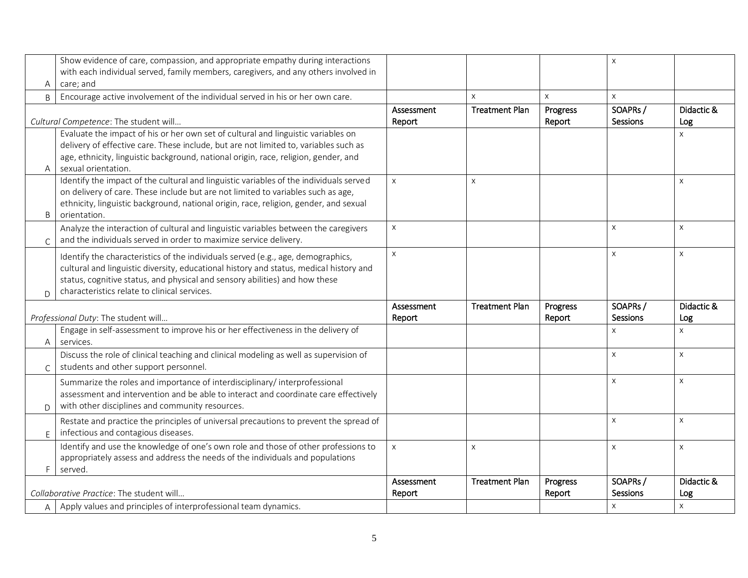|                                                                                                                                                                                                                                                                  | Show evidence of care, compassion, and appropriate empathy during interactions                                                                                                                                                                                                      |                      |                       |                    | $\mathsf{x}$        |                   |
|------------------------------------------------------------------------------------------------------------------------------------------------------------------------------------------------------------------------------------------------------------------|-------------------------------------------------------------------------------------------------------------------------------------------------------------------------------------------------------------------------------------------------------------------------------------|----------------------|-----------------------|--------------------|---------------------|-------------------|
|                                                                                                                                                                                                                                                                  | with each individual served, family members, caregivers, and any others involved in                                                                                                                                                                                                 |                      |                       |                    |                     |                   |
| Α                                                                                                                                                                                                                                                                | care; and                                                                                                                                                                                                                                                                           |                      |                       |                    |                     |                   |
| $\sf B$                                                                                                                                                                                                                                                          | Encourage active involvement of the individual served in his or her own care.                                                                                                                                                                                                       |                      | $\times$              | $\mathsf{x}$       | $\mathsf{X}$        |                   |
|                                                                                                                                                                                                                                                                  |                                                                                                                                                                                                                                                                                     |                      | <b>Treatment Plan</b> | Progress           | SOAPRs/             | Didactic &        |
|                                                                                                                                                                                                                                                                  | Cultural Competence: The student will                                                                                                                                                                                                                                               | Report               |                       | Report             | Sessions            | Log               |
| Evaluate the impact of his or her own set of cultural and linguistic variables on<br>delivery of effective care. These include, but are not limited to, variables such as<br>age, ethnicity, linguistic background, national origin, race, religion, gender, and |                                                                                                                                                                                                                                                                                     |                      |                       |                    |                     | $\pmb{\times}$    |
| A                                                                                                                                                                                                                                                                | sexual orientation.                                                                                                                                                                                                                                                                 |                      |                       |                    |                     |                   |
| B                                                                                                                                                                                                                                                                | Identify the impact of the cultural and linguistic variables of the individuals served<br>on delivery of care. These include but are not limited to variables such as age,<br>ethnicity, linguistic background, national origin, race, religion, gender, and sexual<br>orientation. | $\mathsf{X}$         | $\times$              |                    |                     | $\mathsf{X}$      |
| $\mathsf{C}$                                                                                                                                                                                                                                                     | Analyze the interaction of cultural and linguistic variables between the caregivers<br>and the individuals served in order to maximize service delivery.                                                                                                                            | $\pmb{\times}$       |                       |                    | $\times$            | X                 |
|                                                                                                                                                                                                                                                                  | Identify the characteristics of the individuals served (e.g., age, demographics,<br>cultural and linguistic diversity, educational history and status, medical history and<br>status, cognitive status, and physical and sensory abilities) and how these                           | X                    |                       |                    | $\times$            | $\mathsf{X}$      |
| D                                                                                                                                                                                                                                                                | characteristics relate to clinical services.                                                                                                                                                                                                                                        |                      |                       |                    |                     |                   |
|                                                                                                                                                                                                                                                                  |                                                                                                                                                                                                                                                                                     | Assessment           | <b>Treatment Plan</b> | Progress           | SOAPRs/             | Didactic &        |
|                                                                                                                                                                                                                                                                  | Professional Duty: The student will                                                                                                                                                                                                                                                 | Report               |                       | Report             | Sessions            | Log               |
| Α                                                                                                                                                                                                                                                                | Engage in self-assessment to improve his or her effectiveness in the delivery of<br>services.                                                                                                                                                                                       |                      |                       |                    | X                   | $\mathsf{X}$      |
| $\mathsf{C}$                                                                                                                                                                                                                                                     | Discuss the role of clinical teaching and clinical modeling as well as supervision of<br>students and other support personnel.                                                                                                                                                      |                      |                       |                    | $\times$            | $\mathsf X$       |
| D                                                                                                                                                                                                                                                                | Summarize the roles and importance of interdisciplinary/ interprofessional<br>assessment and intervention and be able to interact and coordinate care effectively<br>with other disciplines and community resources.                                                                |                      |                       |                    | $\mathsf{x}$        | $\pmb{\times}$    |
| E                                                                                                                                                                                                                                                                | Restate and practice the principles of universal precautions to prevent the spread of<br>infectious and contagious diseases.                                                                                                                                                        |                      |                       |                    | $\mathsf X$         | $\mathsf X$       |
| F                                                                                                                                                                                                                                                                | Identify and use the knowledge of one's own role and those of other professions to<br>appropriately assess and address the needs of the individuals and populations<br>served.                                                                                                      | $\mathsf X$          | X                     |                    | $\pmb{\times}$      | $\mathsf X$       |
|                                                                                                                                                                                                                                                                  | Collaborative Practice: The student will                                                                                                                                                                                                                                            | Assessment<br>Report | <b>Treatment Plan</b> | Progress<br>Report | SOAPRs/<br>Sessions | Didactic &<br>Log |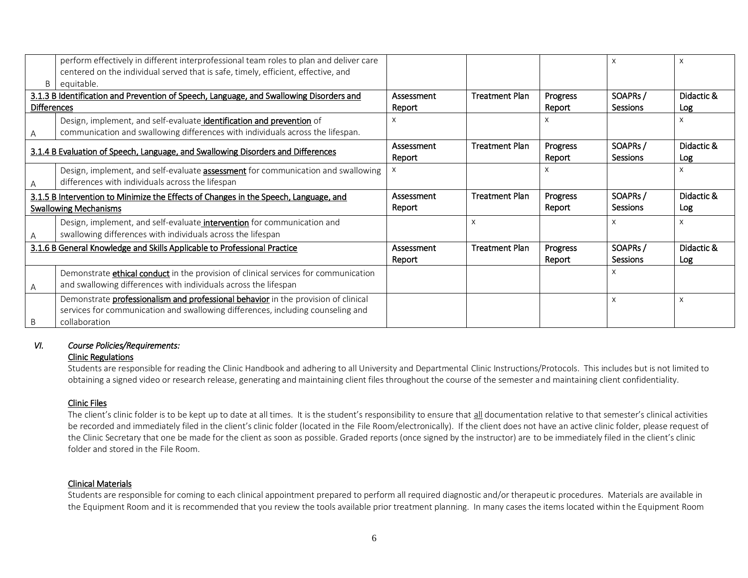| B                                                                                                                    | perform effectively in different interprofessional team roles to plan and deliver care<br>centered on the individual served that is safe, timely, efficient, effective, and<br>equitable. |                      |                       |                    |                            | x                 |
|----------------------------------------------------------------------------------------------------------------------|-------------------------------------------------------------------------------------------------------------------------------------------------------------------------------------------|----------------------|-----------------------|--------------------|----------------------------|-------------------|
| <b>Differences</b>                                                                                                   | 3.1.3 B Identification and Prevention of Speech, Language, and Swallowing Disorders and                                                                                                   | Assessment<br>Report | <b>Treatment Plan</b> | Progress<br>Report | SOAPRs/<br><b>Sessions</b> | Didactic &<br>Log |
|                                                                                                                      | Design, implement, and self-evaluate identification and prevention of<br>communication and swallowing differences with individuals across the lifespan.                                   | X                    |                       | x                  |                            | X                 |
| 3.1.4 B Evaluation of Speech, Language, and Swallowing Disorders and Differences                                     |                                                                                                                                                                                           | Assessment<br>Report | <b>Treatment Plan</b> | Progress<br>Report | SOAPRs/<br><b>Sessions</b> | Didactic &<br>Log |
|                                                                                                                      | Design, implement, and self-evaluate <b>assessment</b> for communication and swallowing<br>differences with individuals across the lifespan                                               | X                    |                       | x                  |                            | X                 |
| 3.1.5 B Intervention to Minimize the Effects of Changes in the Speech, Language, and<br><b>Swallowing Mechanisms</b> |                                                                                                                                                                                           | Assessment<br>Report | <b>Treatment Plan</b> | Progress<br>Report | SOAPRs/<br><b>Sessions</b> | Didactic &<br>Log |
|                                                                                                                      | Design, implement, and self-evaluate intervention for communication and<br>swallowing differences with individuals across the lifespan                                                    |                      | X                     |                    | X                          | X                 |
| 3.1.6 B General Knowledge and Skills Applicable to Professional Practice                                             |                                                                                                                                                                                           | Assessment<br>Report | <b>Treatment Plan</b> | Progress<br>Report | SOAPRs/<br><b>Sessions</b> | Didactic &<br>Log |
|                                                                                                                      | Demonstrate <b>ethical conduct</b> in the provision of clinical services for communication<br>and swallowing differences with individuals across the lifespan                             |                      |                       |                    |                            |                   |
|                                                                                                                      | Demonstrate professionalism and professional behavior in the provision of clinical<br>services for communication and swallowing differences, including counseling and<br>collaboration    |                      |                       |                    | X                          | X                 |

## *VI. Course Policies/Requirements:*

# Clinic Regulations

Students are responsible for reading the Clinic Handbook and adhering to all University and Departmental Clinic Instructions/Protocols. This includes but is not limited to obtaining a signed video or research release, generating and maintaining client files throughout the course of the semester and maintaining client confidentiality.

## Clinic Files

The client's clinic folder is to be kept up to date at all times. It is the student's responsibility to ensure that all documentation relative to that semester's clinical activities be recorded and immediately filed in the client's clinic folder (located in the File Room/electronically). If the client does not have an active clinic folder, please request of the Clinic Secretary that one be made for the client as soon as possible. Graded reports (once signed by the instructor) are to be immediately filed in the client's clinic folder and stored in the File Room.

## Clinical Materials

Students are responsible for coming to each clinical appointment prepared to perform all required diagnostic and/or therapeutic procedures. Materials are available in the Equipment Room and it is recommended that you review the tools available prior treatment planning. In many cases the items located within the Equipment Room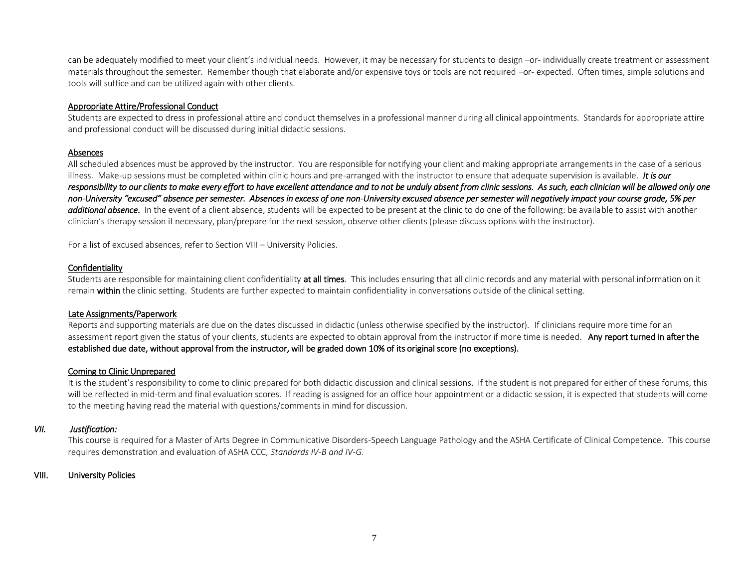can be adequately modified to meet your client's individual needs. However, it may be necessary for students to design -or- individually create treatment or assessment materials throughout the semester. Remember though that elaborate and/or expensive toys or tools are not required -or- expected. Often times, simple solutions and tools will suffice and can be utilized again with other clients.

## Appropriate Attire/Professional Conduct

Students are expected to dress in professional attire and conduct themselves in a professional manner during all clinical appointments. Standards for appropriate attire and professional conduct will be discussed during initial didactic sessions.

## Absences

All scheduled absences must be approved by the instructor. You are responsible for notifying your client and making appropriate arrangements in the case of a serious illness. Make-up sessions must be completed within clinic hours and pre-arranged with the instructor to ensure that adequate supervision is available. *It is our responsibility to our clients to make every effort to have excellent attendance and to not be unduly absent from clinic sessions. As such, each clinician will be allowed only one non-University "excused" absence per semester. Absences in excess of one non-University excused absence per semester will negatively impact your course grade, 5% per additional absence.* In the event of a client absence, students will be expected to be present at the clinic to do one of the following: be available to assist with another clinician's therapy session if necessary, plan/prepare for the next session, observe other clients (please discuss options with the instructor).

For a list of excused absences, refer to Section VIII – University Policies.

# **Confidentiality**

Students are responsible for maintaining client confidentiality at all times. This includes ensuring that all clinic records and any material with personal information on it remain within the clinic setting. Students are further expected to maintain confidentiality in conversations outside of the clinical setting.

## Late Assignments/Paperwork

Reports and supporting materials are due on the dates discussed in didactic (unless otherwise specified by the instructor). If clinicians require more time for an assessment report given the status of your clients, students are expected to obtain approval from the instructor if more time is needed. Any report turned in after the established due date, without approval from the instructor, will be graded down 10% of its original score (no exceptions).

# Coming to Clinic Unprepared

It is the student's responsibility to come to clinic prepared for both didactic discussion and clinical sessions. If the student is not prepared for either of these forums, this will be reflected in mid-term and final evaluation scores. If reading is assigned for an office hour appointment or a didactic session, it is expected that students will come to the meeting having read the material with questions/comments in mind for discussion.

## *VII. Justification:*

This course is required for a Master of Arts Degree in Communicative Disorders-Speech Language Pathology and the ASHA Certificate of Clinical Competence. This course requires demonstration and evaluation of ASHA CCC, *Standards IV-B and IV-G*.

## VIII. University Policies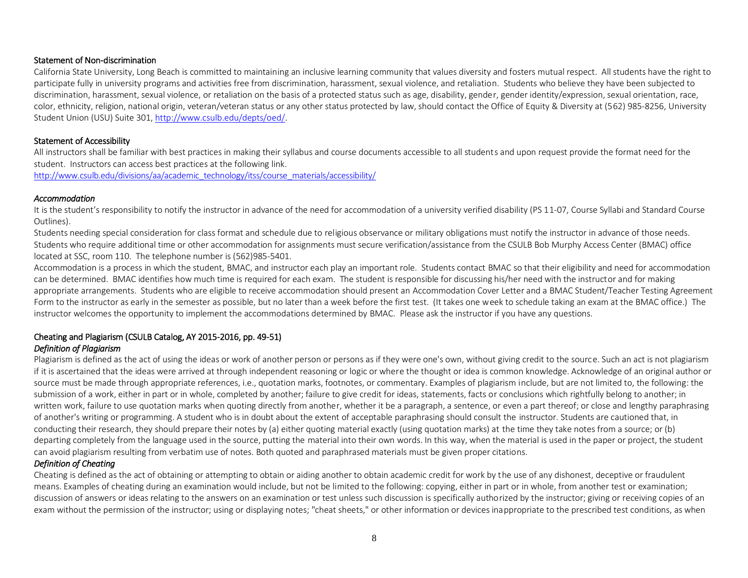## Statement of Non-discrimination

California State University, Long Beach is committed to maintaining an inclusive learning community that values diversity and fosters mutual respect. All students have the right to participate fully in university programs and activities free from discrimination, harassment, sexual violence, and retaliation. Students who believe they have been subjected to discrimination, harassment, sexual violence, or retaliation on the basis of a protected status such as age, disability, gender, gender identity/expression, sexual orientation, race, color, ethnicity, religion, national origin, veteran/veteran status or any other status protected by law, should contact the Office of Equity & Diversity at (562) 985-8256, University Student Union (USU) Suite 301, [http://www.csulb.edu/depts/oed/.](http://www.csulb.edu/depts/oed/)

## Statement of Accessibility

All instructors shall be familiar with best practices in making their syllabus and course documents accessible to all students and upon request provide the format need for the student. Instructors can access best practices at the following link.

[http://www.csulb.edu/divisions/aa/academic\\_technology/itss/course\\_materials/accessibility/](http://www.csulb.edu/divisions/aa/academic_technology/itss/course_materials/accessibility/)

## *Accommodation*

It is the student's responsibility to notify the instructor in advance of the need for accommodation of a university verified disability (PS 11-07, Course Syllabi and Standard Course Outlines).

Students needing special consideration for class format and schedule due to religious observance or military obligations must notify the instructor in advance of those needs. Students who require additional time or other accommodation for assignments must secure verification/assistance from the CSULB Bob Murphy Access Center (BMAC) office located at SSC, room 110. The telephone number is (562)985-5401.

Accommodation is a process in which the student, BMAC, and instructor each play an important role. Students contact BMAC so that their eligibility and need for accommodation can be determined. BMAC identifies how much time is required for each exam. The student is responsible for discussing his/her need with the instructor and for making appropriate arrangements. Students who are eligible to receive accommodation should present an Accommodation Cover Letter and a BMAC Student/Teacher Testing Agreement Form to the instructor as early in the semester as possible, but no later than a week before the first test. (It takes one week to schedule taking an exam at the BMAC office.) The instructor welcomes the opportunity to implement the accommodations determined by BMAC. Please ask the instructor if you have any questions.

#### Cheating and Plagiarism (CSULB Catalog, AY 2015-2016, pp. 49-51) *Definition of Plagiarism*

Plagiarism is defined as the act of using the ideas or work of another person or persons as if they were one's own, without giving credit to the source. Such an act is not plagiarism if it is ascertained that the ideas were arrived at through independent reasoning or logic or where the thought or idea is common knowledge. Acknowledge of an original author or source must be made through appropriate references, i.e., quotation marks, footnotes, or commentary. Examples of plagiarism include, but are not limited to, the following: the submission of a work, either in part or in whole, completed by another; failure to give credit for ideas, statements, facts or conclusions which rightfully belong to another; in written work, failure to use quotation marks when quoting directly from another, whether it be a paragraph, a sentence, or even a part thereof; or close and lengthy paraphrasing of another's writing or programming. A student who is in doubt about the extent of acceptable paraphrasing should consult the instructor. Students are cautioned that, in conducting their research, they should prepare their notes by (a) either quoting material exactly (using quotation marks) at the time they take notes from a source; or (b) departing completely from the language used in the source, putting the material into their own words. In this way, when the material is used in the paper or project, the student can avoid plagiarism resulting from verbatim use of notes. Both quoted and paraphrased materials must be given proper citations.

# *Definition of Cheating*

Cheating is defined as the act of obtaining or attempting to obtain or aiding another to obtain academic credit for work by the use of any dishonest, deceptive or fraudulent means. Examples of cheating during an examination would include, but not be limited to the following: copying, either in part or in whole, from another test or examination; discussion of answers or ideas relating to the answers on an examination or test unless such discussion is specifically authorized by the instructor; giving or receiving copies of an exam without the permission of the instructor; using or displaying notes; "cheat sheets," or other information or devices inappropriate to the prescribed test conditions, as when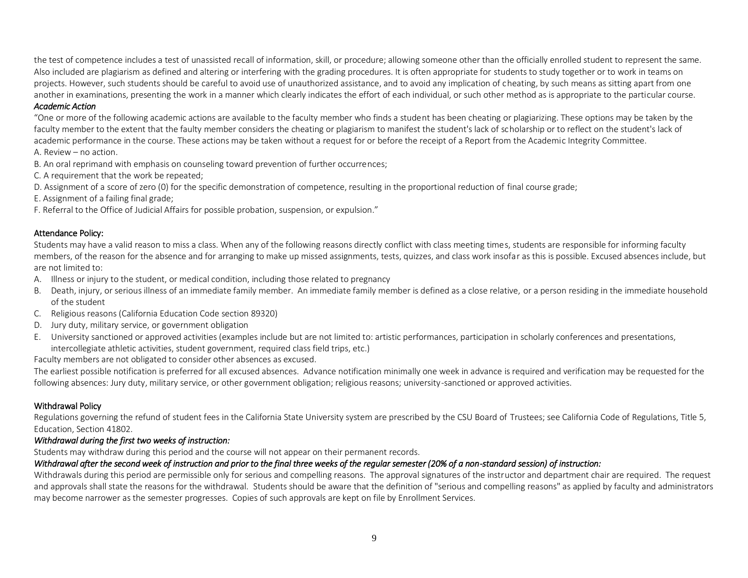the test of competence includes a test of unassisted recall of information, skill, or procedure; allowing someone other than the officially enrolled student to represent the same. Also included are plagiarism as defined and altering or interfering with the grading procedures. It is often appropriate for students to study together or to work in teams on projects. However, such students should be careful to avoid use of unauthorized assistance, and to avoid any implication of cheating, by such means as sitting apart from one another in examinations, presenting the work in a manner which clearly indicates the effort of each individual, or such other method as is appropriate to the particular course.

## *Academic Action*

"One or more of the following academic actions are available to the faculty member who finds a student has been cheating or plagiarizing. These options may be taken by the faculty member to the extent that the faulty member considers the cheating or plagiarism to manifest the student's lack of scholarship or to reflect on the student's lack of academic performance in the course. These actions may be taken without a request for or before the receipt of a Report from the Academic Integrity Committee.

A. Review – no action.

- B. An oral reprimand with emphasis on counseling toward prevention of further occurrences;
- C. A requirement that the work be repeated;
- D. Assignment of a score of zero (0) for the specific demonstration of competence, resulting in the proportional reduction of final course grade;
- E. Assignment of a failing final grade;
- F. Referral to the Office of Judicial Affairs for possible probation, suspension, or expulsion."

## Attendance Policy:

Students may have a valid reason to miss a class. When any of the following reasons directly conflict with class meeting times, students are responsible for informing faculty members, of the reason for the absence and for arranging to make up missed assignments, tests, quizzes, and class work insofar as this is possible. Excused absences include, but are not limited to:

- A. Illness or injury to the student, or medical condition, including those related to pregnancy
- B. Death, injury, or serious illness of an immediate family member. An immediate family member is defined as a close relative, or a person residing in the immediate household of the student
- C. Religious reasons (California Education Code section 89320)
- D. Jury duty, military service, or government obligation
- E. University sanctioned or approved activities (examples include but are not limited to: artistic performances, participation in scholarly conferences and presentations, intercollegiate athletic activities, student government, required class field trips, etc.)

Faculty members are not obligated to consider other absences as excused.

The earliest possible notification is preferred for all excused absences. Advance notification minimally one week in advance is required and verification may be requested for the following absences: Jury duty, military service, or other government obligation; religious reasons; university-sanctioned or approved activities.

# Withdrawal Policy

Regulations governing the refund of student fees in the California State University system are prescribed by the CSU Board of Trustees; see California Code of Regulations, Title 5, Education, Section 41802.

## *Withdrawal during the first two weeks of instruction:*

Students may withdraw during this period and the course will not appear on their permanent records.

# *Withdrawal after the second week of instruction and prior to the final three weeks of the regular semester (20% of a non-standard session) of instruction:*

Withdrawals during this period are permissible only for serious and compelling reasons. The approval signatures of the instructor and department chair are required. The request and approvals shall state the reasons for the withdrawal. Students should be aware that the definition of "serious and compelling reasons" as applied by faculty and administrators may become narrower as the semester progresses. Copies of such approvals are kept on file by Enrollment Services.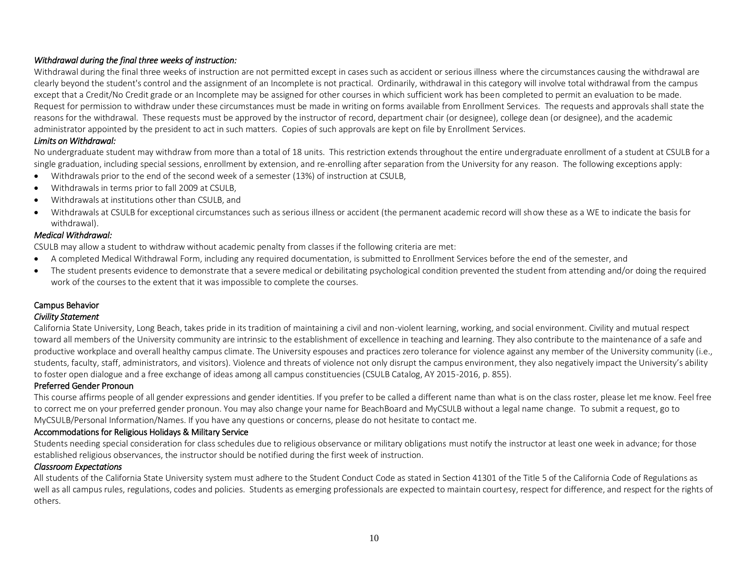# *Withdrawal during the final three weeks of instruction:*

Withdrawal during the final three weeks of instruction are not permitted except in cases such as accident or serious illness where the circumstances causing the withdrawal are clearly beyond the student's control and the assignment of an Incomplete is not practical. Ordinarily, withdrawal in this category will involve total withdrawal from the campus except that a Credit/No Credit grade or an Incomplete may be assigned for other courses in which sufficient work has been completed to permit an evaluation to be made. Request for permission to withdraw under these circumstances must be made in writing on forms available from Enrollment Services. The requests and approvals shall state the reasons for the withdrawal. These requests must be approved by the instructor of record, department chair (or designee), college dean (or designee), and the academic administrator appointed by the president to act in such matters. Copies of such approvals are kept on file by Enrollment Services.

## *Limits on Withdrawal:*

No undergraduate student may withdraw from more than a total of 18 units. This restriction extends throughout the entire undergraduate enrollment of a student at CSULB for a single graduation, including special sessions, enrollment by extension, and re-enrolling after separation from the University for any reason. The following exceptions apply:

- Withdrawals prior to the end of the second week of a semester (13%) of instruction at CSULB,
- Withdrawals in terms prior to fall 2009 at CSULB,
- Withdrawals at institutions other than CSULB, and
- Withdrawals at CSULB for exceptional circumstances such as serious illness or accident (the permanent academic record will show these as a WE to indicate the basis for withdrawal).

## *Medical Withdrawal:*

CSULB may allow a student to withdraw without academic penalty from classes if the following criteria are met:

- A completed Medical Withdrawal Form, including any required documentation, is submitted to Enrollment Services before the end of the semester, and
- The student presents evidence to demonstrate that a severe medical or debilitating psychological condition prevented the student from attending and/or doing the required work of the courses to the extent that it was impossible to complete the courses.

# Campus Behavior

## *Civility Statement*

California State University, Long Beach, takes pride in its tradition of maintaining a civil and non-violent learning, working, and social environment. Civility and mutual respect toward all members of the University community are intrinsic to the establishment of excellence in teaching and learning. They also contribute to the maintenance of a safe and productive workplace and overall healthy campus climate. The University espouses and practices zero tolerance for violence against any member of the University community (i.e., students, faculty, staff, administrators, and visitors). Violence and threats of violence not only disrupt the campus environment, they also negatively impact the University's ability to foster open dialogue and a free exchange of ideas among all campus constituencies (CSULB Catalog, AY 2015-2016, p. 855).

# Preferred Gender Pronoun

This course affirms people of all gender expressions and gender identities. If you prefer to be called a different name than what is on the class roster, please let me know. Feel free to correct me on your preferred gender pronoun. You may also change your name for BeachBoard and MyCSULB without a legal name change. To submit a request, go to MyCSULB/Personal Information/Names. If you have any questions or concerns, please do not hesitate to contact me.

# Accommodations for Religious Holidays & Military Service

Students needing special consideration for class schedules due to religious observance or military obligations must notify the instructor at least one week in advance; for those established religious observances, the instructor should be notified during the first week of instruction.

# *Classroom Expectations*

All students of the California State University system must adhere to the Student Conduct Code as stated in Section 41301 of the Title 5 of the California Code of Regulations as well as all campus rules, regulations, codes and policies. Students as emerging professionals are expected to maintain courtesy, respect for difference, and respect for the rights of others.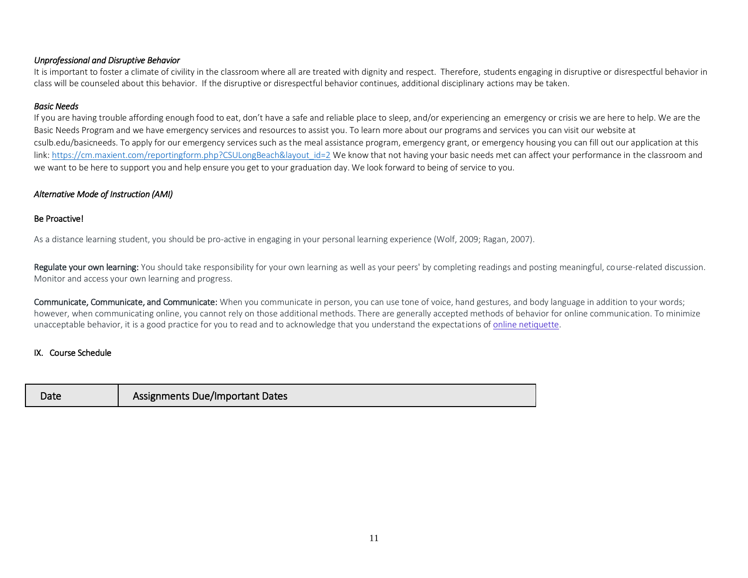# *Unprofessional and Disruptive Behavior*

It is important to foster a climate of civility in the classroom where all are treated with dignity and respect. Therefore, students engaging in disruptive or disrespectful behavior in class will be counseled about this behavior. If the disruptive or disrespectful behavior continues, additional disciplinary actions may be taken.

# *Basic Needs*

If you are having trouble affording enough food to eat, don't have a safe and reliable place to sleep, and/or experiencing an emergency or crisis we are here to help. We are the Basic Needs Program and we have emergency services and resources to assist you. To learn more about our programs and services you can visit our website at csulb.edu/basicneeds. To apply for our emergency services such as the meal assistance program, emergency grant, or emergency housing you can fill out our application at this link: https://cm.maxient.com/reportingform.php?CSULongBeach&layout\_id=2 We know that not having your basic needs met can affect your performance in the classroom and we want to be here to support you and help ensure you get to your graduation day. We look forward to being of service to you.

# *Alternative Mode of Instruction (AMI)*

# Be Proactive!

As a distance learning student, you should be pro-active in engaging in your personal learning experience (Wolf, 2009; Ragan, 2007).

Regulate your own learning: You should take responsibility for your own learning as well as your peers' by completing readings and posting meaningful, course-related discussion. Monitor and access your own learning and progress.

Communicate, Communicate, and Communicate: When you communicate in person, you can use tone of voice, hand gestures, and body language in addition to your words; however, when communicating online, you cannot rely on those additional methods. There are generally accepted methods of behavior for online communication. To minimize unacceptable behavior, it is a good practice for you to read and to acknowledge that you understand the expectations of [online netiquette.](file:///C:/Users/lindakiltz/Desktop/NetiquetteGuideforOnlineCourses.pdf)

# IX. Course Schedule

| Date | <b>Assignments Due/Important Dates</b> |
|------|----------------------------------------|
|------|----------------------------------------|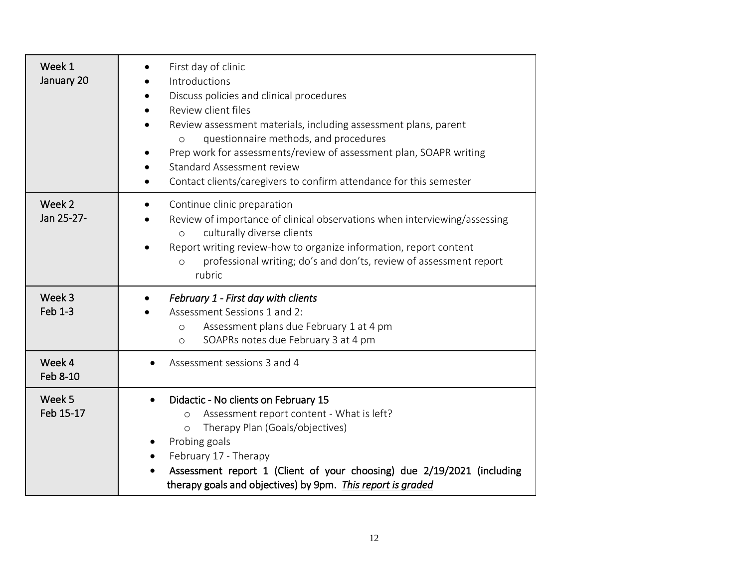| Week 1<br>January 20     | First day of clinic<br>Introductions<br>Discuss policies and clinical procedures<br>Review client files<br>Review assessment materials, including assessment plans, parent<br>questionnaire methods, and procedures<br>$\circ$<br>Prep work for assessments/review of assessment plan, SOAPR writing<br><b>Standard Assessment review</b><br>Contact clients/caregivers to confirm attendance for this semester |
|--------------------------|-----------------------------------------------------------------------------------------------------------------------------------------------------------------------------------------------------------------------------------------------------------------------------------------------------------------------------------------------------------------------------------------------------------------|
| Week 2<br>Jan 25-27-     | Continue clinic preparation<br>Review of importance of clinical observations when interviewing/assessing<br>culturally diverse clients<br>$\circ$<br>Report writing review-how to organize information, report content<br>professional writing; do's and don'ts, review of assessment report<br>$\circ$<br>rubric                                                                                               |
| Week 3<br><b>Feb 1-3</b> | February 1 - First day with clients<br>Assessment Sessions 1 and 2:<br>Assessment plans due February 1 at 4 pm<br>$\circ$<br>SOAPRs notes due February 3 at 4 pm<br>$\circ$                                                                                                                                                                                                                                     |
| Week 4<br>Feb 8-10       | Assessment sessions 3 and 4                                                                                                                                                                                                                                                                                                                                                                                     |
| Week 5<br>Feb 15-17      | Didactic - No clients on February 15<br>Assessment report content - What is left?<br>$\circ$<br>Therapy Plan (Goals/objectives)<br>$\circ$<br>Probing goals<br>February 17 - Therapy<br>Assessment report 1 (Client of your choosing) due 2/19/2021 (including<br>therapy goals and objectives) by 9pm. This report is graded                                                                                   |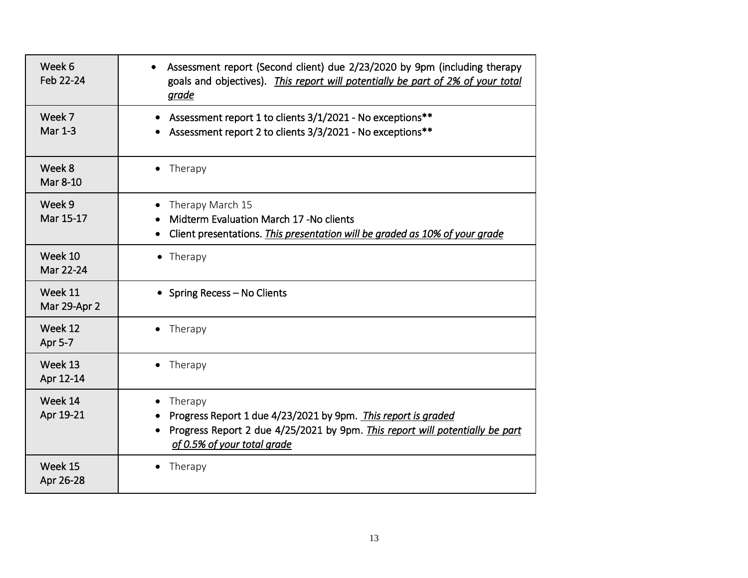| Week 6<br>Feb 22-24      | Assessment report (Second client) due 2/23/2020 by 9pm (including therapy<br>goals and objectives). This report will potentially be part of 2% of your total<br>grade                   |
|--------------------------|-----------------------------------------------------------------------------------------------------------------------------------------------------------------------------------------|
| Week 7<br><b>Mar 1-3</b> | Assessment report 1 to clients 3/1/2021 - No exceptions**<br>$\bullet$<br>Assessment report 2 to clients 3/3/2021 - No exceptions**                                                     |
| Week 8<br>Mar 8-10       | Therapy<br>$\bullet$                                                                                                                                                                    |
| Week 9<br>Mar 15-17      | Therapy March 15<br>Midterm Evaluation March 17 - No clients<br>Client presentations. This presentation will be graded as 10% of your grade<br>$\bullet$                                |
| Week 10<br>Mar 22-24     | $\bullet$ Therapy                                                                                                                                                                       |
| Week 11<br>Mar 29-Apr 2  | • Spring Recess - No Clients                                                                                                                                                            |
| Week 12<br>Apr 5-7       | • Therapy                                                                                                                                                                               |
| Week 13<br>Apr 12-14     | Therapy<br>$\bullet$                                                                                                                                                                    |
| Week 14<br>Apr 19-21     | Therapy<br>Progress Report 1 due 4/23/2021 by 9pm. This report is graded<br>Progress Report 2 due 4/25/2021 by 9pm. This report will potentially be part<br>of 0.5% of your total grade |
| Week 15<br>Apr 26-28     | Therapy                                                                                                                                                                                 |